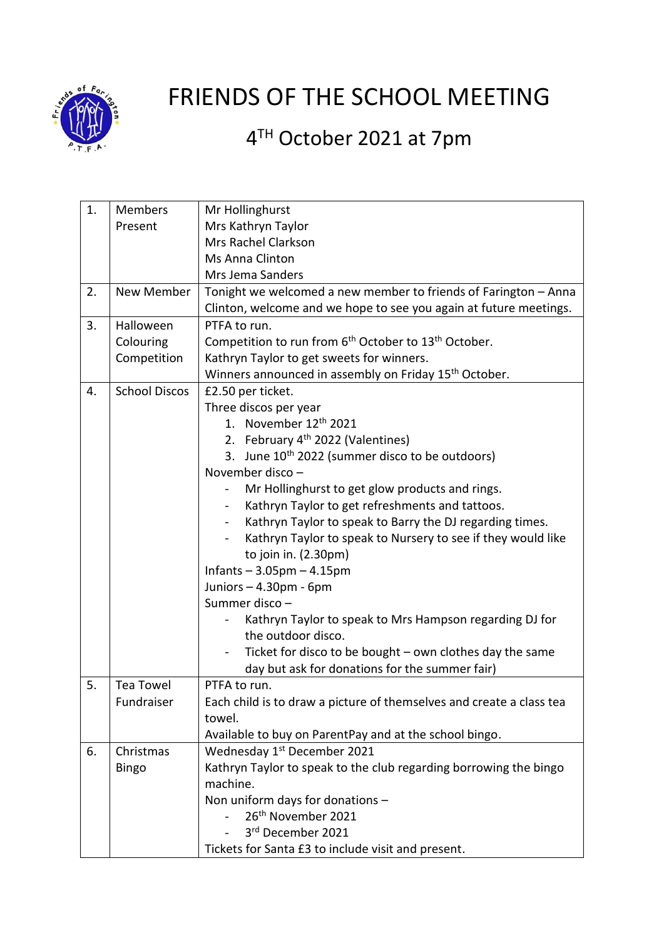

## FRIENDS OF THE SCHOOL MEETING

## 4<sup>TH</sup> October 2021 at 7pm

| 1. | Members              | Mr Hollinghurst                                                              |
|----|----------------------|------------------------------------------------------------------------------|
|    | Present              | Mrs Kathryn Taylor                                                           |
|    |                      | Mrs Rachel Clarkson                                                          |
|    |                      | Ms Anna Clinton                                                              |
|    |                      | Mrs Jema Sanders                                                             |
| 2. | New Member           | Tonight we welcomed a new member to friends of Farington - Anna              |
|    |                      | Clinton, welcome and we hope to see you again at future meetings.            |
| 3. | Halloween            | PTFA to run.                                                                 |
|    | Colouring            | Competition to run from 6 <sup>th</sup> October to 13 <sup>th</sup> October. |
|    | Competition          | Kathryn Taylor to get sweets for winners.                                    |
|    |                      | Winners announced in assembly on Friday 15 <sup>th</sup> October.            |
| 4. | <b>School Discos</b> | £2.50 per ticket.                                                            |
|    |                      | Three discos per year                                                        |
|    |                      | 1. November 12 <sup>th</sup> 2021                                            |
|    |                      | 2. February 4 <sup>th</sup> 2022 (Valentines)                                |
|    |                      | 3. June 10 <sup>th</sup> 2022 (summer disco to be outdoors)                  |
|    |                      | November disco -                                                             |
|    |                      | Mr Hollinghurst to get glow products and rings.                              |
|    |                      | Kathryn Taylor to get refreshments and tattoos.<br>$\overline{\phantom{0}}$  |
|    |                      | Kathryn Taylor to speak to Barry the DJ regarding times.                     |
|    |                      | Kathryn Taylor to speak to Nursery to see if they would like                 |
|    |                      | to join in. (2.30pm)                                                         |
|    |                      | Infants $-3.05$ pm $-4.15$ pm                                                |
|    |                      | Juniors $-4.30$ pm - 6pm                                                     |
|    |                      | Summer disco -                                                               |
|    |                      | Kathryn Taylor to speak to Mrs Hampson regarding DJ for                      |
|    |                      | the outdoor disco.                                                           |
|    |                      | Ticket for disco to be bought - own clothes day the same                     |
|    |                      | day but ask for donations for the summer fair)                               |
| 5. | <b>Tea Towel</b>     | PTFA to run.                                                                 |
|    | Fundraiser           | Each child is to draw a picture of themselves and create a class tea         |
|    |                      | towel.                                                                       |
|    |                      | Available to buy on ParentPay and at the school bingo.                       |
| 6. | Christmas            | Wednesday 1 <sup>st</sup> December 2021                                      |
|    | <b>Bingo</b>         | Kathryn Taylor to speak to the club regarding borrowing the bingo            |
|    |                      | machine.                                                                     |
|    |                      | Non uniform days for donations -                                             |
|    |                      | 26 <sup>th</sup> November 2021                                               |
|    |                      | 3rd December 2021                                                            |
|    |                      | Tickets for Santa £3 to include visit and present.                           |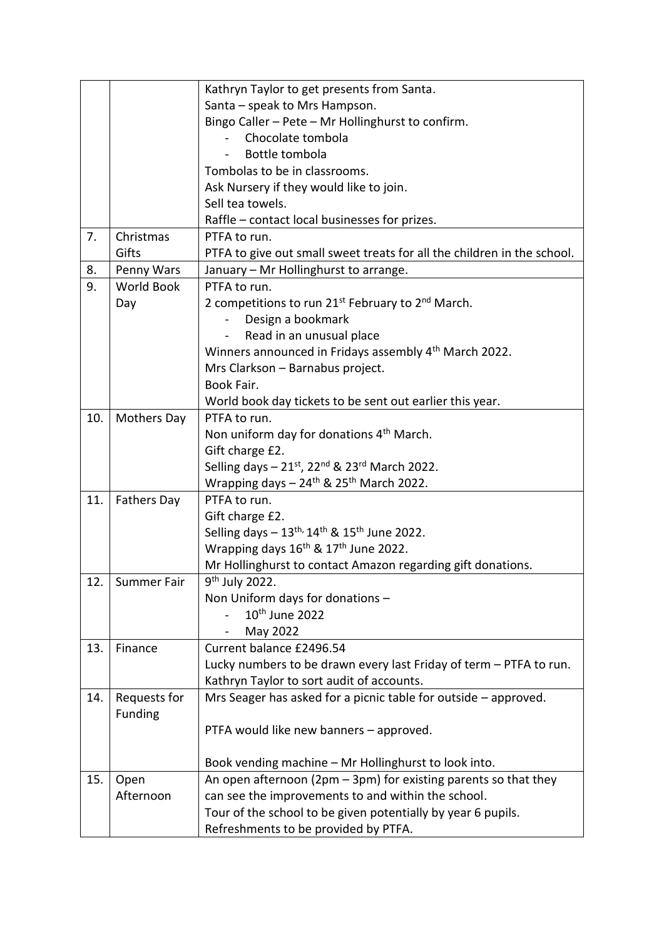|     |                    | Kathryn Taylor to get presents from Santa.                                         |
|-----|--------------------|------------------------------------------------------------------------------------|
|     |                    | Santa - speak to Mrs Hampson.                                                      |
|     |                    | Bingo Caller - Pete - Mr Hollinghurst to confirm.                                  |
|     |                    | Chocolate tombola                                                                  |
|     |                    | Bottle tombola                                                                     |
|     |                    | Tombolas to be in classrooms.                                                      |
|     |                    | Ask Nursery if they would like to join.                                            |
|     |                    | Sell tea towels.                                                                   |
|     |                    | Raffle – contact local businesses for prizes.                                      |
| 7.  | Christmas          | PTFA to run.                                                                       |
|     | Gifts              | PTFA to give out small sweet treats for all the children in the school.            |
| 8.  | Penny Wars         | January - Mr Hollinghurst to arrange.                                              |
| 9.  | <b>World Book</b>  | PTFA to run.                                                                       |
|     | Day                | 2 competitions to run 21 <sup>st</sup> February to 2 <sup>nd</sup> March.          |
|     |                    | Design a bookmark                                                                  |
|     |                    | Read in an unusual place<br>$\qquad \qquad \blacksquare$                           |
|     |                    | Winners announced in Fridays assembly 4 <sup>th</sup> March 2022.                  |
|     |                    | Mrs Clarkson - Barnabus project.                                                   |
|     |                    | Book Fair.                                                                         |
|     |                    | World book day tickets to be sent out earlier this year.                           |
| 10. | <b>Mothers Day</b> | PTFA to run.                                                                       |
|     |                    | Non uniform day for donations 4 <sup>th</sup> March.                               |
|     |                    | Gift charge £2.                                                                    |
|     |                    | Selling days $-21$ <sup>st</sup> , 22 <sup>nd</sup> & 23 <sup>rd</sup> March 2022. |
|     |                    | Wrapping days - 24 <sup>th</sup> & 25 <sup>th</sup> March 2022.                    |
| 11. | <b>Fathers Day</b> | PTFA to run.                                                                       |
|     |                    | Gift charge £2.                                                                    |
|     |                    | Selling days $-13^{th}$ , 14 <sup>th</sup> & 15 <sup>th</sup> June 2022.           |
|     |                    | Wrapping days 16 <sup>th</sup> & 17 <sup>th</sup> June 2022.                       |
|     |                    | Mr Hollinghurst to contact Amazon regarding gift donations.                        |
| 12. | Summer Fair        | 9 <sup>th</sup> July 2022.                                                         |
|     |                    | Non Uniform days for donations -                                                   |
|     |                    | 10 <sup>th</sup> June 2022                                                         |
|     |                    | May 2022                                                                           |
| 13. | Finance            | Current balance £2496.54                                                           |
|     |                    | Lucky numbers to be drawn every last Friday of term - PTFA to run.                 |
|     |                    | Kathryn Taylor to sort audit of accounts.                                          |
| 14. | Requests for       | Mrs Seager has asked for a picnic table for outside - approved.                    |
|     | <b>Funding</b>     |                                                                                    |
|     |                    | PTFA would like new banners - approved.                                            |
|     |                    |                                                                                    |
|     |                    | Book vending machine - Mr Hollinghurst to look into.                               |
| 15. | Open               | An open afternoon ( $2pm - 3pm$ ) for existing parents so that they                |
|     | Afternoon          | can see the improvements to and within the school.                                 |
|     |                    |                                                                                    |
|     |                    | Tour of the school to be given potentially by year 6 pupils.                       |
|     |                    | Refreshments to be provided by PTFA.                                               |